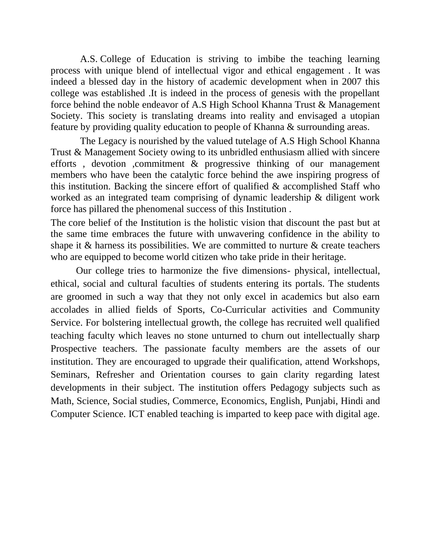A.S. College of Education is striving to imbibe the teaching learning process with unique blend of intellectual vigor and ethical engagement . It was indeed a blessed day in the history of academic development when in 2007 this college was established .It is indeed in the process of genesis with the propellant force behind the noble endeavor of A.S High School Khanna Trust & Management Society. This society is translating dreams into reality and envisaged a utopian feature by providing quality education to people of Khanna & surrounding areas.

 The Legacy is nourished by the valued tutelage of A.S High School Khanna Trust & Management Society owing to its unbridled enthusiasm allied with sincere efforts , devotion ,commitment & progressive thinking of our management members who have been the catalytic force behind the awe inspiring progress of this institution. Backing the sincere effort of qualified & accomplished Staff who worked as an integrated team comprising of dynamic leadership & diligent work force has pillared the phenomenal success of this Institution .

The core belief of the Institution is the holistic vision that discount the past but at the same time embraces the future with unwavering confidence in the ability to shape it & harness its possibilities. We are committed to nurture & create teachers who are equipped to become world citizen who take pride in their heritage.

Our college tries to harmonize the five dimensions- physical, intellectual, ethical, social and cultural faculties of students entering its portals. The students are groomed in such a way that they not only excel in academics but also earn accolades in allied fields of Sports, Co-Curricular activities and Community Service. For bolstering intellectual growth, the college has recruited well qualified teaching faculty which leaves no stone unturned to churn out intellectually sharp Prospective teachers. The passionate faculty members are the assets of our institution. They are encouraged to upgrade their qualification, attend Workshops, Seminars, Refresher and Orientation courses to gain clarity regarding latest developments in their subject. The institution offers Pedagogy subjects such as Math, Science, Social studies, Commerce, Economics, English, Punjabi, Hindi and Computer Science. ICT enabled teaching is imparted to keep pace with digital age.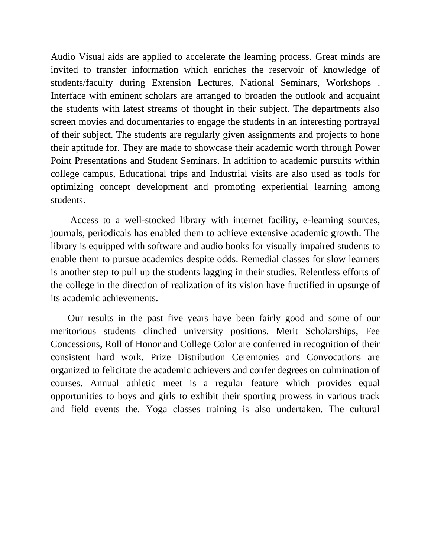Audio Visual aids are applied to accelerate the learning process. Great minds are invited to transfer information which enriches the reservoir of knowledge of students/faculty during Extension Lectures, National Seminars, Workshops . Interface with eminent scholars are arranged to broaden the outlook and acquaint the students with latest streams of thought in their subject. The departments also screen movies and documentaries to engage the students in an interesting portrayal of their subject. The students are regularly given assignments and projects to hone their aptitude for. They are made to showcase their academic worth through Power Point Presentations and Student Seminars. In addition to academic pursuits within college campus, Educational trips and Industrial visits are also used as tools for optimizing concept development and promoting experiential learning among students.

 Access to a well-stocked library with internet facility, e-learning sources, journals, periodicals has enabled them to achieve extensive academic growth. The library is equipped with software and audio books for visually impaired students to enable them to pursue academics despite odds. Remedial classes for slow learners is another step to pull up the students lagging in their studies. Relentless efforts of the college in the direction of realization of its vision have fructified in upsurge of its academic achievements.

 Our results in the past five years have been fairly good and some of our meritorious students clinched university positions. Merit Scholarships, Fee Concessions, Roll of Honor and College Color are conferred in recognition of their consistent hard work. Prize Distribution Ceremonies and Convocations are organized to felicitate the academic achievers and confer degrees on culmination of courses. Annual athletic meet is a regular feature which provides equal opportunities to boys and girls to exhibit their sporting prowess in various track and field events the. Yoga classes training is also undertaken. The cultural